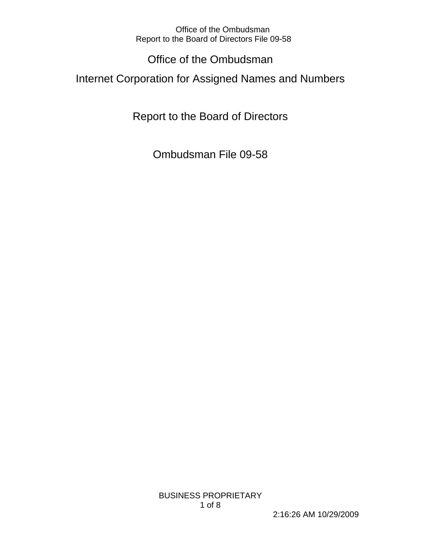# Office of the Ombudsman

Internet Corporation for Assigned Names and Numbers

Report to the Board of Directors

Ombudsman File 09-58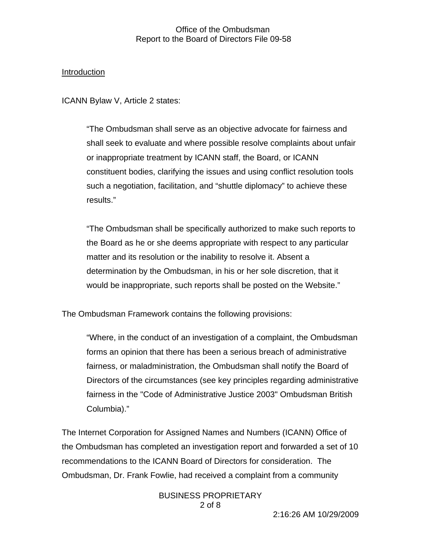#### Introduction

ICANN Bylaw V, Article 2 states:

"The Ombudsman shall serve as an objective advocate for fairness and shall seek to evaluate and where possible resolve complaints about unfair or inappropriate treatment by ICANN staff, the Board, or ICANN constituent bodies, clarifying the issues and using conflict resolution tools such a negotiation, facilitation, and "shuttle diplomacy" to achieve these results."

"The Ombudsman shall be specifically authorized to make such reports to the Board as he or she deems appropriate with respect to any particular matter and its resolution or the inability to resolve it. Absent a determination by the Ombudsman, in his or her sole discretion, that it would be inappropriate, such reports shall be posted on the Website."

The Ombudsman Framework contains the following provisions:

"Where, in the conduct of an investigation of a complaint, the Ombudsman forms an opinion that there has been a serious breach of administrative fairness, or maladministration, the Ombudsman shall notify the Board of Directors of the circumstances (see key principles regarding administrative fairness in the "Code of Administrative Justice 2003" Ombudsman British Columbia)."

The Internet Corporation for Assigned Names and Numbers (ICANN) Office of the Ombudsman has completed an investigation report and forwarded a set of 10 recommendations to the ICANN Board of Directors for consideration. The Ombudsman, Dr. Frank Fowlie, had received a complaint from a community

> BUSINESS PROPRIETARY 2 of 8

2:16:26 AM 10/29/2009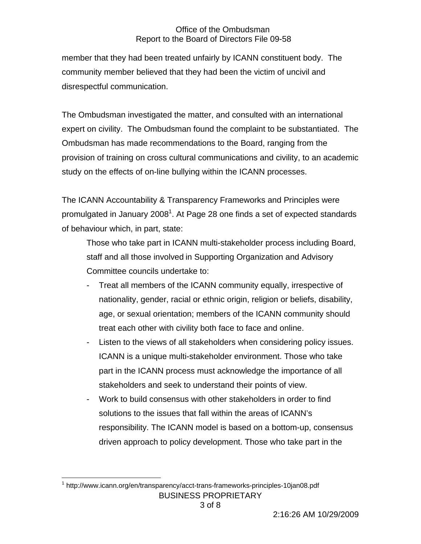member that they had been treated unfairly by ICANN constituent body. The community member believed that they had been the victim of uncivil and disrespectful communication.

The Ombudsman investigated the matter, and consulted with an international expert on civility. The Ombudsman found the complaint to be substantiated. The Ombudsman has made recommendations to the Board, ranging from the provision of training on cross cultural communications and civility, to an academic study on the effects of on-line bullying within the ICANN processes.

The ICANN Accountability & Transparency Frameworks and Principles were promulgated in January 2008<sup>1</sup>. At Page 28 one finds a set of expected standards of behaviour which, in part, state:

Those who take part in ICANN multi-stakeholder process including Board, staff and all those involved in Supporting Organization and Advisory Committee councils undertake to:

- Treat all members of the ICANN community equally, irrespective of nationality, gender, racial or ethnic origin, religion or beliefs, disability, age, or sexual orientation; members of the ICANN community should treat each other with civility both face to face and online.
- Listen to the views of all stakeholders when considering policy issues. ICANN is a unique multi-stakeholder environment. Those who take part in the ICANN process must acknowledge the importance of all stakeholders and seek to understand their points of view.
- Work to build consensus with other stakeholders in order to find solutions to the issues that fall within the areas of ICANN's responsibility. The ICANN model is based on a bottom-up, consensus driven approach to policy development. Those who take part in the

BUSINESS PROPRIETARY  $\overline{a}$ <sup>1</sup> http://www.icann.org/en/transparency/acct-trans-frameworks-principles-10jan08.pdf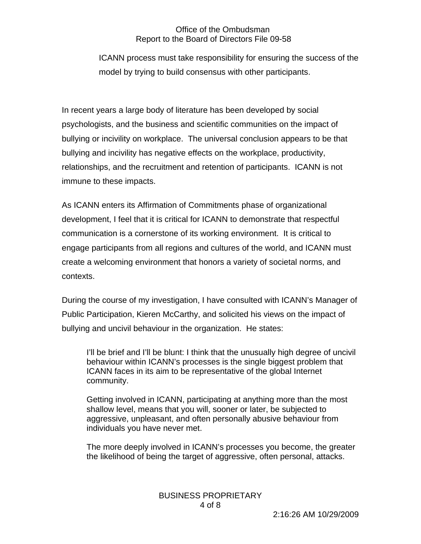ICANN process must take responsibility for ensuring the success of the model by trying to build consensus with other participants.

In recent years a large body of literature has been developed by social psychologists, and the business and scientific communities on the impact of bullying or incivility on workplace. The universal conclusion appears to be that bullying and incivility has negative effects on the workplace, productivity, relationships, and the recruitment and retention of participants. ICANN is not immune to these impacts.

As ICANN enters its Affirmation of Commitments phase of organizational development, I feel that it is critical for ICANN to demonstrate that respectful communication is a cornerstone of its working environment. It is critical to engage participants from all regions and cultures of the world, and ICANN must create a welcoming environment that honors a variety of societal norms, and contexts.

During the course of my investigation, I have consulted with ICANN's Manager of Public Participation, Kieren McCarthy, and solicited his views on the impact of bullying and uncivil behaviour in the organization. He states:

I'll be brief and I'll be blunt: I think that the unusually high degree of uncivil behaviour within ICANN's processes is the single biggest problem that ICANN faces in its aim to be representative of the global Internet community.

Getting involved in ICANN, participating at anything more than the most shallow level, means that you will, sooner or later, be subjected to aggressive, unpleasant, and often personally abusive behaviour from individuals you have never met.

The more deeply involved in ICANN's processes you become, the greater the likelihood of being the target of aggressive, often personal, attacks.

# BUSINESS PROPRIETARY 4 of 8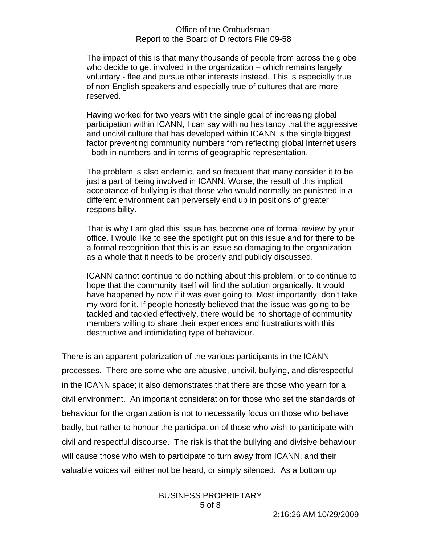The impact of this is that many thousands of people from across the globe who decide to get involved in the organization – which remains largely voluntary - flee and pursue other interests instead. This is especially true of non-English speakers and especially true of cultures that are more reserved.

Having worked for two years with the single goal of increasing global participation within ICANN, I can say with no hesitancy that the aggressive and uncivil culture that has developed within ICANN is the single biggest factor preventing community numbers from reflecting global Internet users - both in numbers and in terms of geographic representation.

The problem is also endemic, and so frequent that many consider it to be just a part of being involved in ICANN. Worse, the result of this implicit acceptance of bullying is that those who would normally be punished in a different environment can perversely end up in positions of greater responsibility.

That is why I am glad this issue has become one of formal review by your office. I would like to see the spotlight put on this issue and for there to be a formal recognition that this is an issue so damaging to the organization as a whole that it needs to be properly and publicly discussed.

ICANN cannot continue to do nothing about this problem, or to continue to hope that the community itself will find the solution organically. It would have happened by now if it was ever going to. Most importantly, don't take my word for it. If people honestly believed that the issue was going to be tackled and tackled effectively, there would be no shortage of community members willing to share their experiences and frustrations with this destructive and intimidating type of behaviour.

There is an apparent polarization of the various participants in the ICANN processes. There are some who are abusive, uncivil, bullying, and disrespectful in the ICANN space; it also demonstrates that there are those who yearn for a civil environment. An important consideration for those who set the standards of behaviour for the organization is not to necessarily focus on those who behave badly, but rather to honour the participation of those who wish to participate with civil and respectful discourse. The risk is that the bullying and divisive behaviour will cause those who wish to participate to turn away from ICANN, and their valuable voices will either not be heard, or simply silenced. As a bottom up

#### BUSINESS PROPRIETARY 5 of 8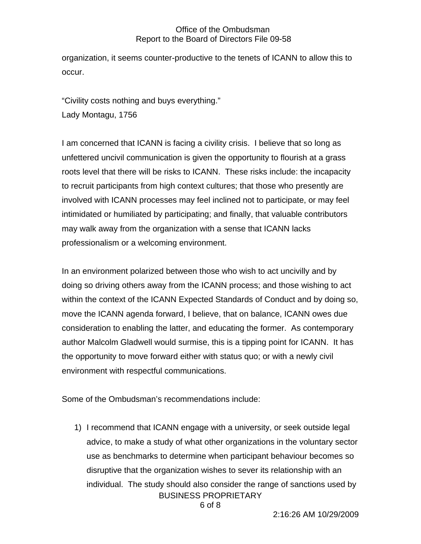organization, it seems counter-productive to the tenets of ICANN to allow this to occur.

"Civility costs nothing and buys everything." Lady Montagu, 1756

I am concerned that ICANN is facing a civility crisis. I believe that so long as unfettered uncivil communication is given the opportunity to flourish at a grass roots level that there will be risks to ICANN. These risks include: the incapacity to recruit participants from high context cultures; that those who presently are involved with ICANN processes may feel inclined not to participate, or may feel intimidated or humiliated by participating; and finally, that valuable contributors may walk away from the organization with a sense that ICANN lacks professionalism or a welcoming environment.

In an environment polarized between those who wish to act uncivilly and by doing so driving others away from the ICANN process; and those wishing to act within the context of the ICANN Expected Standards of Conduct and by doing so, move the ICANN agenda forward, I believe, that on balance, ICANN owes due consideration to enabling the latter, and educating the former. As contemporary author Malcolm Gladwell would surmise, this is a tipping point for ICANN. It has the opportunity to move forward either with status quo; or with a newly civil environment with respectful communications.

Some of the Ombudsman's recommendations include:

BUSINESS PROPRIETARY 1) I recommend that ICANN engage with a university, or seek outside legal advice, to make a study of what other organizations in the voluntary sector use as benchmarks to determine when participant behaviour becomes so disruptive that the organization wishes to sever its relationship with an individual. The study should also consider the range of sanctions used by

6 of 8

2:16:26 AM 10/29/2009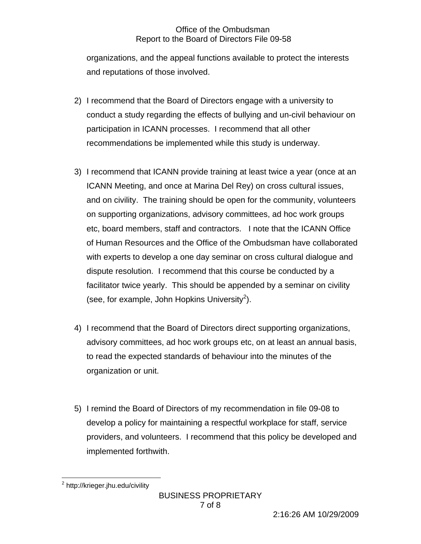organizations, and the appeal functions available to protect the interests and reputations of those involved.

- 2) I recommend that the Board of Directors engage with a university to conduct a study regarding the effects of bullying and un-civil behaviour on participation in ICANN processes. I recommend that all other recommendations be implemented while this study is underway.
- 3) I recommend that ICANN provide training at least twice a year (once at an ICANN Meeting, and once at Marina Del Rey) on cross cultural issues, and on civility. The training should be open for the community, volunteers on supporting organizations, advisory committees, ad hoc work groups etc, board members, staff and contractors. I note that the ICANN Office of Human Resources and the Office of the Ombudsman have collaborated with experts to develop a one day seminar on cross cultural dialogue and dispute resolution. I recommend that this course be conducted by a facilitator twice yearly. This should be appended by a seminar on civility (see, for example, John Hopkins University<sup>2</sup>).
- 4) I recommend that the Board of Directors direct supporting organizations, advisory committees, ad hoc work groups etc, on at least an annual basis, to read the expected standards of behaviour into the minutes of the organization or unit.
- 5) I remind the Board of Directors of my recommendation in file 09-08 to develop a policy for maintaining a respectful workplace for staff, service providers, and volunteers. I recommend that this policy be developed and implemented forthwith.

 $\overline{a}$ <sup>2</sup> http://krieger.jhu.edu/civility